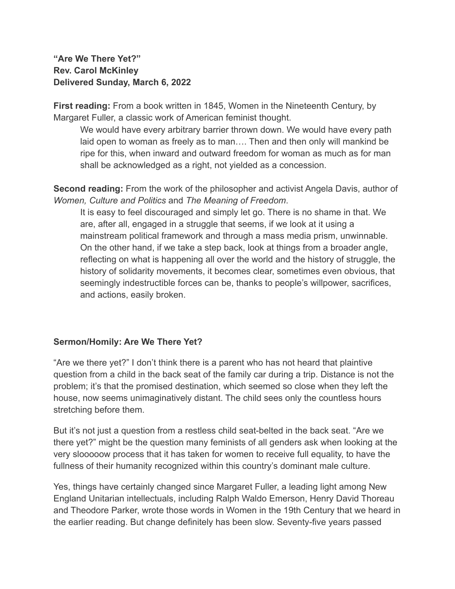## **"Are We There Yet?" Rev. Carol McKinley Delivered Sunday, March 6, 2022**

**First reading:** From a book written in 1845, Women in the Nineteenth Century, by Margaret Fuller, a classic work of American feminist thought.

We would have every arbitrary barrier thrown down. We would have every path laid open to woman as freely as to man…. Then and then only will mankind be ripe for this, when inward and outward freedom for woman as much as for man shall be acknowledged as a right, not yielded as a concession.

**Second reading:** From the work of the philosopher and activist Angela Davis, author of *Women, Culture and Politics* and *The Meaning of Freedom*.

It is easy to feel discouraged and simply let go. There is no shame in that. We are, after all, engaged in a struggle that seems, if we look at it using a mainstream political framework and through a mass media prism, unwinnable. On the other hand, if we take a step back, look at things from a broader angle, reflecting on what is happening all over the world and the history of struggle, the history of solidarity movements, it becomes clear, sometimes even obvious, that seemingly indestructible forces can be, thanks to people's willpower, sacrifices, and actions, easily broken.

## **Sermon/Homily: Are We There Yet?**

"Are we there yet?" I don't think there is a parent who has not heard that plaintive question from a child in the back seat of the family car during a trip. Distance is not the problem; it's that the promised destination, which seemed so close when they left the house, now seems unimaginatively distant. The child sees only the countless hours stretching before them.

But it's not just a question from a restless child seat-belted in the back seat. "Are we there yet?" might be the question many feminists of all genders ask when looking at the very slooooow process that it has taken for women to receive full equality, to have the fullness of their humanity recognized within this country's dominant male culture.

Yes, things have certainly changed since Margaret Fuller, a leading light among New England Unitarian intellectuals, including Ralph Waldo Emerson, Henry David Thoreau and Theodore Parker, wrote those words in Women in the 19th Century that we heard in the earlier reading. But change definitely has been slow. Seventy-five years passed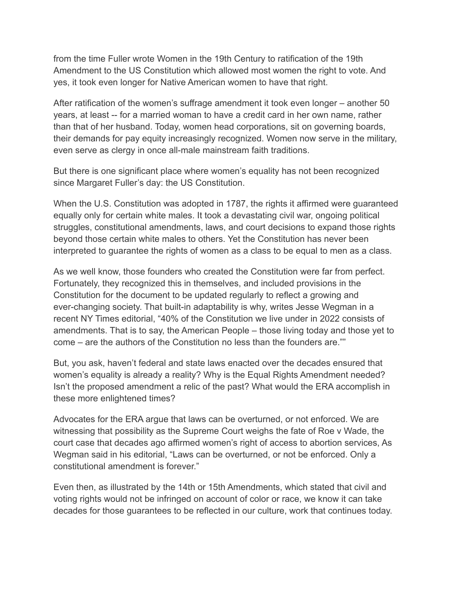from the time Fuller wrote Women in the 19th Century to ratification of the 19th Amendment to the US Constitution which allowed most women the right to vote. And yes, it took even longer for Native American women to have that right.

After ratification of the women's suffrage amendment it took even longer – another 50 years, at least -- for a married woman to have a credit card in her own name, rather than that of her husband. Today, women head corporations, sit on governing boards, their demands for pay equity increasingly recognized. Women now serve in the military, even serve as clergy in once all-male mainstream faith traditions.

But there is one significant place where women's equality has not been recognized since Margaret Fuller's day: the US Constitution.

When the U.S. Constitution was adopted in 1787, the rights it affirmed were guaranteed equally only for certain white males. It took a devastating civil war, ongoing political struggles, constitutional amendments, laws, and court decisions to expand those rights beyond those certain white males to others. Yet the Constitution has never been interpreted to guarantee the rights of women as a class to be equal to men as a class.

As we well know, those founders who created the Constitution were far from perfect. Fortunately, they recognized this in themselves, and included provisions in the Constitution for the document to be updated regularly to reflect a growing and ever-changing society. That built-in adaptability is why, writes Jesse Wegman in a recent NY Times editorial, "40% of the Constitution we live under in 2022 consists of amendments. That is to say, the American People – those living today and those yet to come – are the authors of the Constitution no less than the founders are.""

But, you ask, haven't federal and state laws enacted over the decades ensured that women's equality is already a reality? Why is the Equal Rights Amendment needed? Isn't the proposed amendment a relic of the past? What would the ERA accomplish in these more enlightened times?

Advocates for the ERA argue that laws can be overturned, or not enforced. We are witnessing that possibility as the Supreme Court weighs the fate of Roe v Wade, the court case that decades ago affirmed women's right of access to abortion services, As Wegman said in his editorial, "Laws can be overturned, or not be enforced. Only a constitutional amendment is forever."

Even then, as illustrated by the 14th or 15th Amendments, which stated that civil and voting rights would not be infringed on account of color or race, we know it can take decades for those guarantees to be reflected in our culture, work that continues today.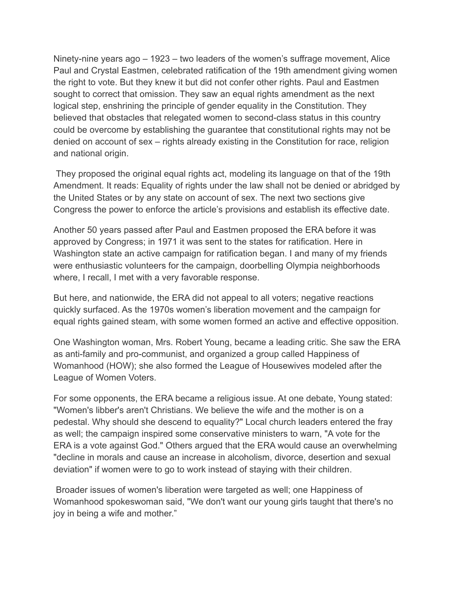Ninety-nine years ago – 1923 – two leaders of the women's suffrage movement, Alice Paul and Crystal Eastmen, celebrated ratification of the 19th amendment giving women the right to vote. But they knew it but did not confer other rights. Paul and Eastmen sought to correct that omission. They saw an equal rights amendment as the next logical step, enshrining the principle of gender equality in the Constitution. They believed that obstacles that relegated women to second-class status in this country could be overcome by establishing the guarantee that constitutional rights may not be denied on account of sex – rights already existing in the Constitution for race, religion and national origin.

They proposed the original equal rights act, modeling its language on that of the 19th Amendment. It reads: Equality of rights under the law shall not be denied or abridged by the United States or by any state on account of sex. The next two sections give Congress the power to enforce the article's provisions and establish its effective date.

Another 50 years passed after Paul and Eastmen proposed the ERA before it was approved by Congress; in 1971 it was sent to the states for ratification. Here in Washington state an active campaign for ratification began. I and many of my friends were enthusiastic volunteers for the campaign, doorbelling Olympia neighborhoods where, I recall, I met with a very favorable response.

But here, and nationwide, the ERA did not appeal to all voters; negative reactions quickly surfaced. As the 1970s women's liberation movement and the campaign for equal rights gained steam, with some women formed an active and effective opposition.

One Washington woman, Mrs. Robert Young, became a leading critic. She saw the ERA as anti-family and pro-communist, and organized a group called Happiness of Womanhood (HOW); she also formed the League of Housewives modeled after the League of Women Voters.

For some opponents, the ERA became a religious issue. At one debate, Young stated: "Women's libber's aren't Christians. We believe the wife and the mother is on a pedestal. Why should she descend to equality?" Local church leaders entered the fray as well; the campaign inspired some conservative ministers to warn, "A vote for the ERA is a vote against God." Others argued that the ERA would cause an overwhelming "decline in morals and cause an increase in alcoholism, divorce, desertion and sexual deviation" if women were to go to work instead of staying with their children.

Broader issues of women's liberation were targeted as well; one Happiness of Womanhood spokeswoman said, "We don't want our young girls taught that there's no joy in being a wife and mother."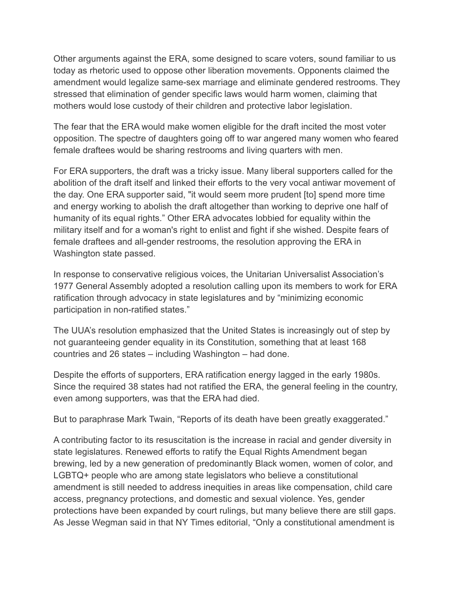Other arguments against the ERA, some designed to scare voters, sound familiar to us today as rhetoric used to oppose other liberation movements. Opponents claimed the amendment would legalize same-sex marriage and eliminate gendered restrooms. They stressed that elimination of gender specific laws would harm women, claiming that mothers would lose custody of their children and protective labor legislation.

The fear that the ERA would make women eligible for the draft incited the most voter opposition. The spectre of daughters going off to war angered many women who feared female draftees would be sharing restrooms and living quarters with men.

For ERA supporters, the draft was a tricky issue. Many liberal supporters called for the abolition of the draft itself and linked their efforts to the very vocal antiwar movement of the day. One ERA supporter said, "it would seem more prudent [to] spend more time and energy working to abolish the draft altogether than working to deprive one half of humanity of its equal rights." Other ERA advocates lobbied for equality within the military itself and for a woman's right to enlist and fight if she wished. Despite fears of female draftees and all-gender restrooms, the resolution approving the ERA in Washington state passed.

In response to conservative religious voices, the Unitarian Universalist Association's 1977 General Assembly adopted a resolution calling upon its members to work for ERA ratification through advocacy in state legislatures and by "minimizing economic participation in non-ratified states."

The UUA's resolution emphasized that the United States is increasingly out of step by not guaranteeing gender equality in its Constitution, something that at least 168 countries and 26 states – including Washington – had done.

Despite the efforts of supporters, ERA ratification energy lagged in the early 1980s. Since the required 38 states had not ratified the ERA, the general feeling in the country, even among supporters, was that the ERA had died.

But to paraphrase Mark Twain, "Reports of its death have been greatly exaggerated."

A contributing factor to its resuscitation is the increase in racial and gender diversity in state legislatures. Renewed efforts to ratify the Equal Rights Amendment began brewing, led by a new generation of predominantly Black women, women of color, and LGBTQ+ people who are among state legislators who believe a constitutional amendment is still needed to address inequities in areas like compensation, child care access, pregnancy protections, and domestic and sexual violence. Yes, gender protections have been expanded by court rulings, but many believe there are still gaps. As Jesse Wegman said in that NY Times editorial, "Only a constitutional amendment is